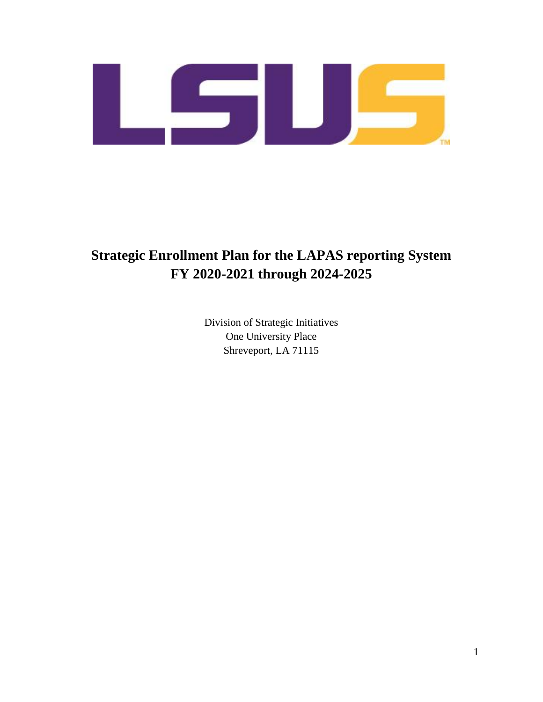

# **Strategic Enrollment Plan for the LAPAS reporting System FY 2020-2021 through 2024-2025**

Division of Strategic Initiatives One University Place Shreveport, LA 71115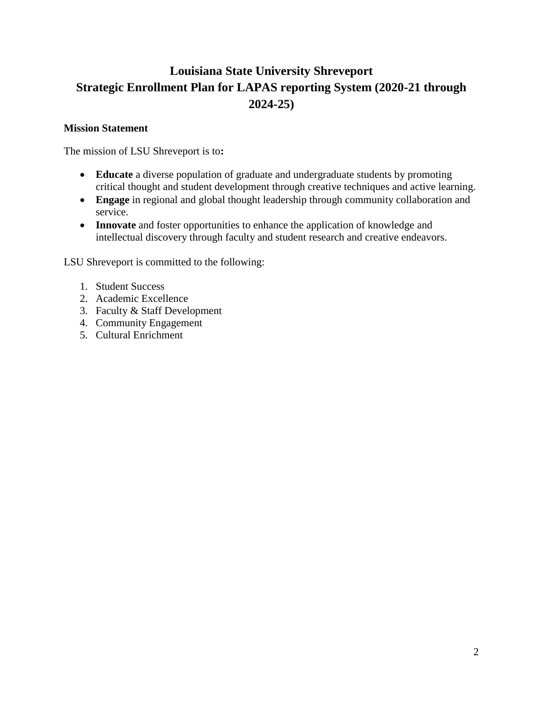# **Louisiana State University Shreveport Strategic Enrollment Plan for LAPAS reporting System (2020-21 through 2024-25)**

# **Mission Statement**

The mission of LSU Shreveport is to**:** 

- **Educate** a diverse population of graduate and undergraduate students by promoting critical thought and student development through creative techniques and active learning.
- Engage in regional and global thought leadership through community collaboration and service.
- **Innovate** and foster opportunities to enhance the application of knowledge and intellectual discovery through faculty and student research and creative endeavors.

LSU Shreveport is committed to the following:

- 1. Student Success
- 2. Academic Excellence
- 3. Faculty & Staff Development
- 4. Community Engagement
- 5. Cultural Enrichment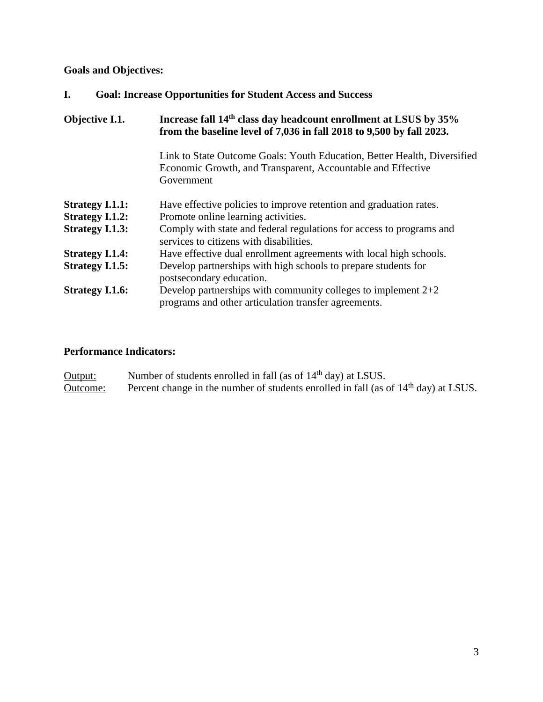**Goals and Objectives:** 

| I.<br><b>Goal: Increase Opportunities for Student Access and Success</b> |
|--------------------------------------------------------------------------|
|--------------------------------------------------------------------------|

| Objective I.1.         | Increase fall 14 <sup>th</sup> class day headcount enrollment at LSUS by 35%<br>from the baseline level of 7,036 in fall 2018 to 9,500 by fall 2023.  |
|------------------------|-------------------------------------------------------------------------------------------------------------------------------------------------------|
|                        | Link to State Outcome Goals: Youth Education, Better Health, Diversified<br>Economic Growth, and Transparent, Accountable and Effective<br>Government |
| <b>Strategy I.1.1:</b> | Have effective policies to improve retention and graduation rates.                                                                                    |
| <b>Strategy I.1.2:</b> | Promote online learning activities.                                                                                                                   |
| <b>Strategy I.1.3:</b> | Comply with state and federal regulations for access to programs and<br>services to citizens with disabilities.                                       |
| <b>Strategy I.1.4:</b> | Have effective dual enrollment agreements with local high schools.                                                                                    |
| <b>Strategy I.1.5:</b> | Develop partnerships with high schools to prepare students for<br>postsecondary education.                                                            |
| <b>Strategy I.1.6:</b> | Develop partnerships with community colleges to implement $2+2$<br>programs and other articulation transfer agreements.                               |

# **Performance Indicators:**

| Output:  | Number of students enrolled in fall (as of 14 <sup>th</sup> day) at LSUS.                       |
|----------|-------------------------------------------------------------------------------------------------|
| Outcome: | Percent change in the number of students enrolled in fall (as of 14 <sup>th</sup> day) at LSUS. |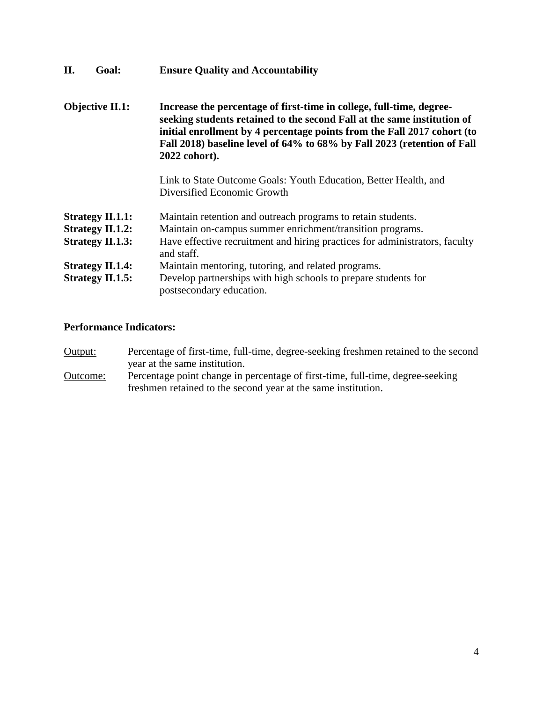| II.                    | Goal:                                                                         | <b>Ensure Quality and Accountability</b>                                                                                                                                                                                                                                                                               |
|------------------------|-------------------------------------------------------------------------------|------------------------------------------------------------------------------------------------------------------------------------------------------------------------------------------------------------------------------------------------------------------------------------------------------------------------|
| <b>Objective II.1:</b> |                                                                               | Increase the percentage of first-time in college, full-time, degree-<br>seeking students retained to the second Fall at the same institution of<br>initial enrollment by 4 percentage points from the Fall 2017 cohort (to<br>Fall 2018) baseline level of 64% to 68% by Fall 2023 (retention of Fall<br>2022 cohort). |
|                        |                                                                               | Link to State Outcome Goals: Youth Education, Better Health, and<br>Diversified Economic Growth                                                                                                                                                                                                                        |
|                        | <b>Strategy II.1.1:</b><br><b>Strategy II.1.2:</b><br><b>Strategy II.1.3:</b> | Maintain retention and outreach programs to retain students.<br>Maintain on-campus summer enrichment/transition programs.<br>Have effective recruitment and hiring practices for administrators, faculty<br>and staff.                                                                                                 |
|                        | <b>Strategy II.1.4:</b><br><b>Strategy II.1.5:</b>                            | Maintain mentoring, tutoring, and related programs.<br>Develop partnerships with high schools to prepare students for<br>postsecondary education.                                                                                                                                                                      |

Output: Percentage of first-time, full-time, degree-seeking freshmen retained to the second year at the same institution.

Outcome: Percentage point change in percentage of first-time, full-time, degree-seeking freshmen retained to the second year at the same institution.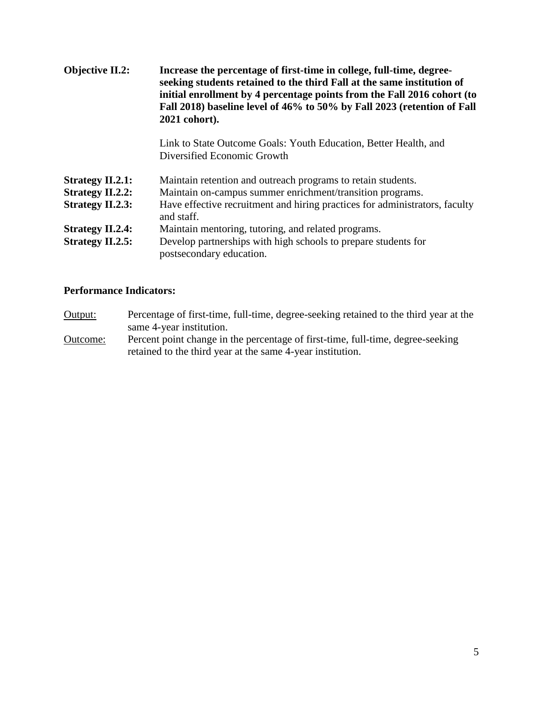| <b>Objective II.2:</b>  | Increase the percentage of first-time in college, full-time, degree-<br>seeking students retained to the third Fall at the same institution of<br>initial enrollment by 4 percentage points from the Fall 2016 cohort (to<br>Fall 2018) baseline level of 46% to 50% by Fall 2023 (retention of Fall<br>2021 cohort). |
|-------------------------|-----------------------------------------------------------------------------------------------------------------------------------------------------------------------------------------------------------------------------------------------------------------------------------------------------------------------|
|                         | Link to State Outcome Goals: Youth Education, Better Health, and<br>Diversified Economic Growth                                                                                                                                                                                                                       |
| <b>Strategy II.2.1:</b> | Maintain retention and outreach programs to retain students.                                                                                                                                                                                                                                                          |
| <b>Strategy II.2.2:</b> | Maintain on-campus summer enrichment/transition programs.                                                                                                                                                                                                                                                             |
| <b>Strategy II.2.3:</b> | Have effective recruitment and hiring practices for administrators, faculty<br>and staff.                                                                                                                                                                                                                             |
| <b>Strategy II.2.4:</b> | Maintain mentoring, tutoring, and related programs.                                                                                                                                                                                                                                                                   |
| <b>Strategy II.2.5:</b> | Develop partnerships with high schools to prepare students for<br>postsecondary education.                                                                                                                                                                                                                            |

- Output: Percentage of first-time, full-time, degree-seeking retained to the third year at the same 4-year institution.
- Outcome: Percent point change in the percentage of first-time, full-time, degree-seeking retained to the third year at the same 4-year institution.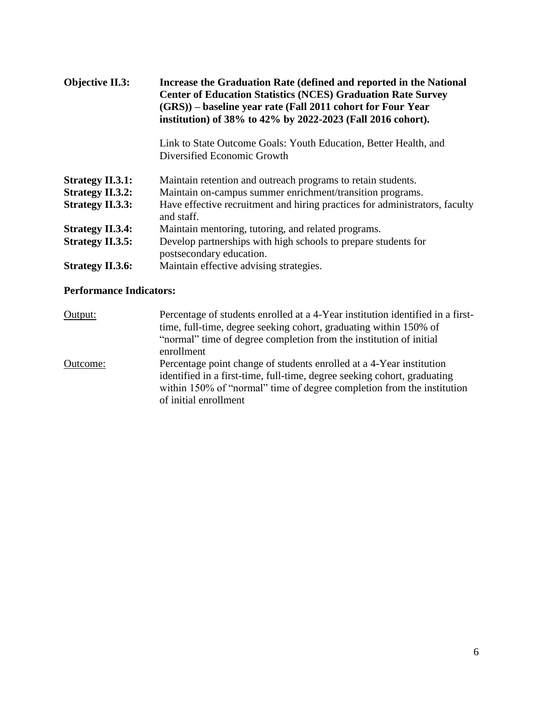| <b>Objective II.3:</b>  | Increase the Graduation Rate (defined and reported in the National<br><b>Center of Education Statistics (NCES) Graduation Rate Survey</b><br>(GRS)) – baseline year rate (Fall 2011 cohort for Four Year<br>institution) of 38% to 42% by 2022-2023 (Fall 2016 cohort). |  |
|-------------------------|-------------------------------------------------------------------------------------------------------------------------------------------------------------------------------------------------------------------------------------------------------------------------|--|
|                         | Link to State Outcome Goals: Youth Education, Better Health, and<br>Diversified Economic Growth                                                                                                                                                                         |  |
| <b>Strategy II.3.1:</b> | Maintain retention and outreach programs to retain students.                                                                                                                                                                                                            |  |
| <b>Strategy II.3.2:</b> | Maintain on-campus summer enrichment/transition programs.                                                                                                                                                                                                               |  |
| <b>Strategy II.3.3:</b> | Have effective recruitment and hiring practices for administrators, faculty<br>and staff.                                                                                                                                                                               |  |
| <b>Strategy II.3.4:</b> | Maintain mentoring, tutoring, and related programs.                                                                                                                                                                                                                     |  |
| <b>Strategy II.3.5:</b> | Develop partnerships with high schools to prepare students for<br>postsecondary education.                                                                                                                                                                              |  |
| <b>Strategy II.3.6:</b> | Maintain effective advising strategies.                                                                                                                                                                                                                                 |  |

| Percentage of students enrolled at a 4-Year institution identified in a first- |
|--------------------------------------------------------------------------------|
| time, full-time, degree seeking cohort, graduating within 150% of              |
|                                                                                |
|                                                                                |
| Percentage point change of students enrolled at a 4-Year institution           |
| identified in a first-time, full-time, degree seeking cohort, graduating       |
| within 150% of "normal" time of degree completion from the institution         |
| "normal" time of degree completion from the institution of initial             |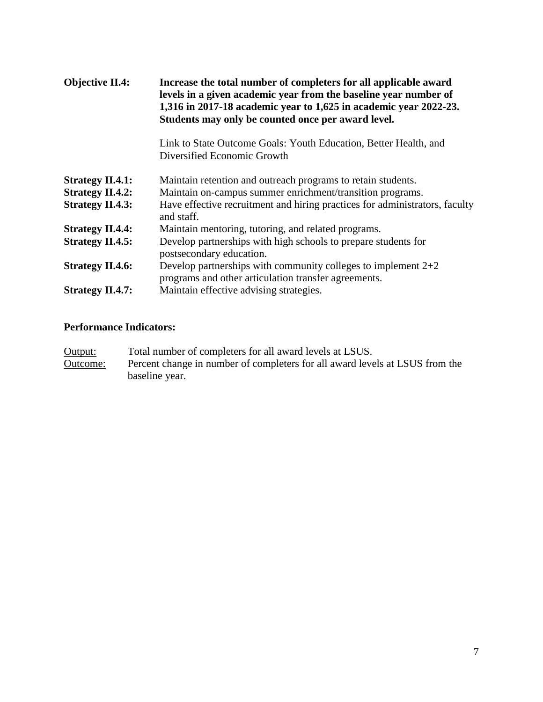| <b>Objective II.4:</b>  | Increase the total number of completers for all applicable award<br>levels in a given academic year from the baseline year number of<br>1,316 in 2017-18 academic year to 1,625 in academic year 2022-23.<br>Students may only be counted once per award level. |
|-------------------------|-----------------------------------------------------------------------------------------------------------------------------------------------------------------------------------------------------------------------------------------------------------------|
|                         | Link to State Outcome Goals: Youth Education, Better Health, and<br>Diversified Economic Growth                                                                                                                                                                 |
| <b>Strategy II.4.1:</b> | Maintain retention and outreach programs to retain students.                                                                                                                                                                                                    |
| <b>Strategy II.4.2:</b> | Maintain on-campus summer enrichment/transition programs.                                                                                                                                                                                                       |
| <b>Strategy II.4.3:</b> | Have effective recruitment and hiring practices for administrators, faculty<br>and staff.                                                                                                                                                                       |
| <b>Strategy II.4.4:</b> | Maintain mentoring, tutoring, and related programs.                                                                                                                                                                                                             |
| <b>Strategy II.4.5:</b> | Develop partnerships with high schools to prepare students for<br>postsecondary education.                                                                                                                                                                      |
| <b>Strategy II.4.6:</b> | Develop partnerships with community colleges to implement $2+2$<br>programs and other articulation transfer agreements.                                                                                                                                         |
| <b>Strategy II.4.7:</b> | Maintain effective advising strategies.                                                                                                                                                                                                                         |

Output: Total number of completers for all award levels at LSUS. Outcome: Percent change in number of completers for all award levels at LSUS from the baseline year.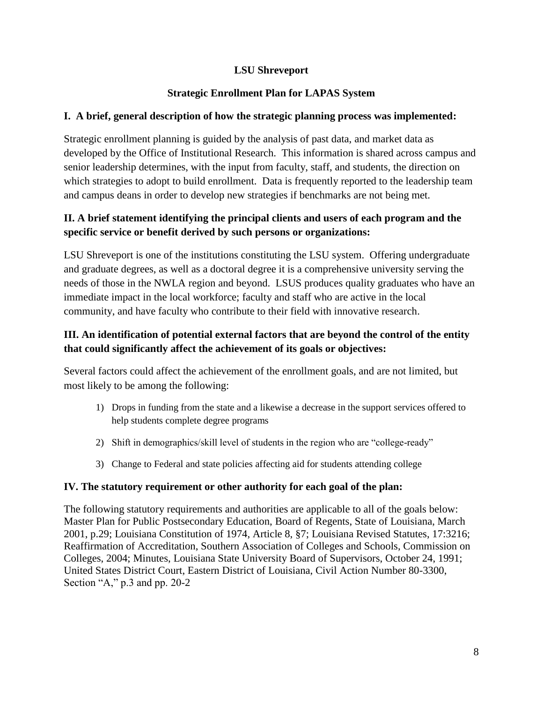# **LSU Shreveport**

# **Strategic Enrollment Plan for LAPAS System**

# **I. A brief, general description of how the strategic planning process was implemented:**

 which strategies to adopt to build enrollment. Data is frequently reported to the leadership team Strategic enrollment planning is guided by the analysis of past data, and market data as developed by the Office of Institutional Research. This information is shared across campus and senior leadership determines, with the input from faculty, staff, and students, the direction on and campus deans in order to develop new strategies if benchmarks are not being met.

# **II. A brief statement identifying the principal clients and users of each program and the specific service or benefit derived by such persons or organizations:**

LSU Shreveport is one of the institutions constituting the LSU system. Offering undergraduate and graduate degrees, as well as a doctoral degree it is a comprehensive university serving the needs of those in the NWLA region and beyond. LSUS produces quality graduates who have an immediate impact in the local workforce; faculty and staff who are active in the local community, and have faculty who contribute to their field with innovative research.

# **III. An identification of potential external factors that are beyond the control of the entity that could significantly affect the achievement of its goals or objectives:**

Several factors could affect the achievement of the enrollment goals, and are not limited, but most likely to be among the following:

- 1) Drops in funding from the state and a likewise a decrease in the support services offered to help students complete degree programs
- 2) Shift in demographics/skill level of students in the region who are "college-ready"
- 3) Change to Federal and state policies affecting aid for students attending college

# **IV. The statutory requirement or other authority for each goal of the plan:**

The following statutory requirements and authorities are applicable to all of the goals below: Master Plan for Public Postsecondary Education, Board of Regents, State of Louisiana, March 2001, p.29; Louisiana Constitution of 1974, Article 8, §7; Louisiana Revised Statutes, 17:3216; Reaffirmation of Accreditation, Southern Association of Colleges and Schools, Commission on Colleges, 2004; Minutes, Louisiana State University Board of Supervisors, October 24, 1991; United States District Court, Eastern District of Louisiana, Civil Action Number 80-3300, Section "A," p.3 and pp. 20-2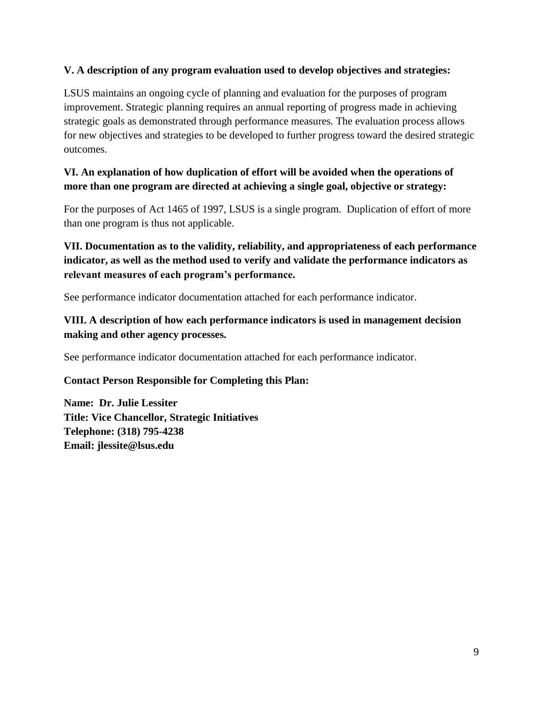# **V. A description of any program evaluation used to develop objectives and strategies:**

LSUS maintains an ongoing cycle of planning and evaluation for the purposes of program improvement. Strategic planning requires an annual reporting of progress made in achieving strategic goals as demonstrated through performance measures. The evaluation process allows for new objectives and strategies to be developed to further progress toward the desired strategic outcomes.

# **VI. An explanation of how duplication of effort will be avoided when the operations of more than one program are directed at achieving a single goal, objective or strategy:**

For the purposes of Act 1465 of 1997, LSUS is a single program. Duplication of effort of more than one program is thus not applicable.

# **VII. Documentation as to the validity, reliability, and appropriateness of each performance indicator, as well as the method used to verify and validate the performance indicators as relevant measures of each program's performance.**

See performance indicator documentation attached for each performance indicator.

# **VIII. A description of how each performance indicators is used in management decision making and other agency processes.**

See performance indicator documentation attached for each performance indicator.

# **Contact Person Responsible for Completing this Plan:**

**Name: Dr. Julie Lessiter Title: Vice Chancellor, Strategic Initiatives Telephone: (318) 795-4238 Email: [jlessite@lsus.edu](mailto:jlessite@lsus.edu)**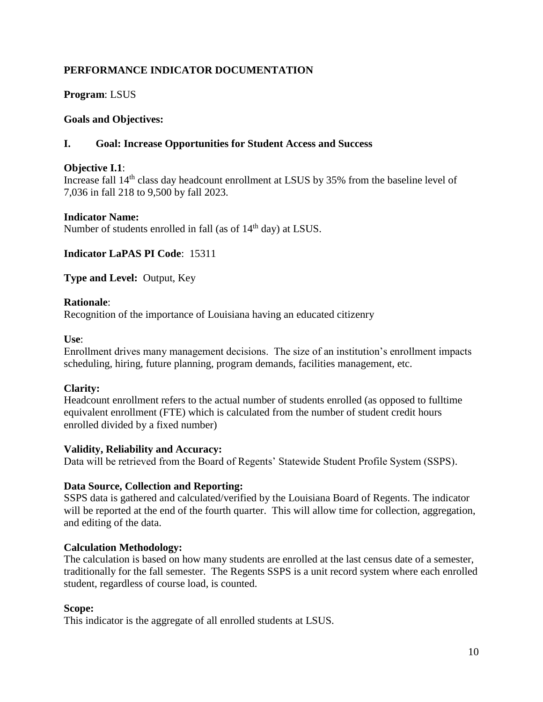**Program**: LSUS

# **Goals and Objectives:**

# **I. Goal: Increase Opportunities for Student Access and Success**

#### **Objective I.1**:

Increase fall 14<sup>th</sup> class day headcount enrollment at LSUS by 35% from the baseline level of 7,036 in fall 218 to 9,500 by fall 2023.

#### **Indicator Name:**

Number of students enrolled in fall (as of  $14<sup>th</sup>$  day) at LSUS.

**Indicator LaPAS PI Code**: 15311

**Type and Level:** Output, Key

#### **Rationale**:

Recognition of the importance of Louisiana having an educated citizenry

#### **Use**:

Enrollment drives many management decisions. The size of an institution's enrollment impacts scheduling, hiring, future planning, program demands, facilities management, etc.

#### **Clarity:**

Headcount enrollment refers to the actual number of students enrolled (as opposed to fulltime equivalent enrollment (FTE) which is calculated from the number of student credit hours enrolled divided by a fixed number)

#### **Validity, Reliability and Accuracy:**

Data will be retrieved from the Board of Regents' Statewide Student Profile System (SSPS).

#### **Data Source, Collection and Reporting:**

SSPS data is gathered and calculated/verified by the Louisiana Board of Regents. The indicator will be reported at the end of the fourth quarter. This will allow time for collection, aggregation, and editing of the data.

#### **Calculation Methodology:**

 traditionally for the fall semester. The Regents SSPS is a unit record system where each enrolled The calculation is based on how many students are enrolled at the last census date of a semester, student, regardless of course load, is counted.

#### **Scope:**

This indicator is the aggregate of all enrolled students at LSUS.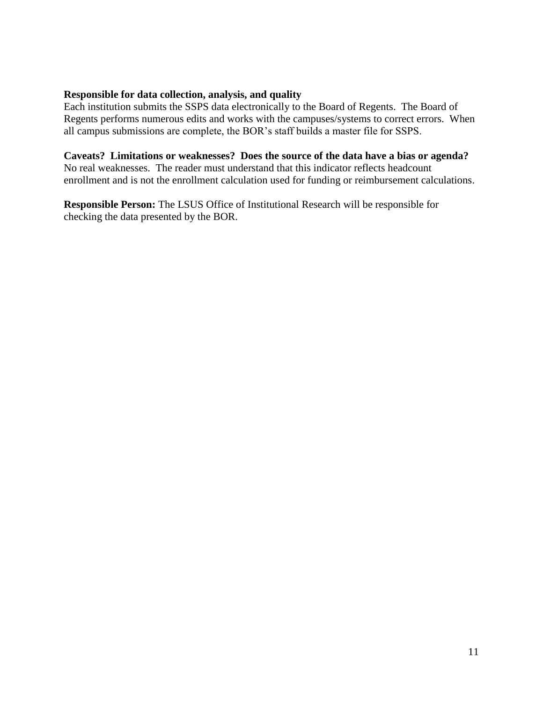#### **Responsible for data collection, analysis, and quality**

Each institution submits the SSPS data electronically to the Board of Regents. The Board of Regents performs numerous edits and works with the campuses/systems to correct errors. When all campus submissions are complete, the BOR's staff builds a master file for SSPS.

#### **Caveats? Limitations or weaknesses? Does the source of the data have a bias or agenda?**

No real weaknesses. The reader must understand that this indicator reflects headcount enrollment and is not the enrollment calculation used for funding or reimbursement calculations.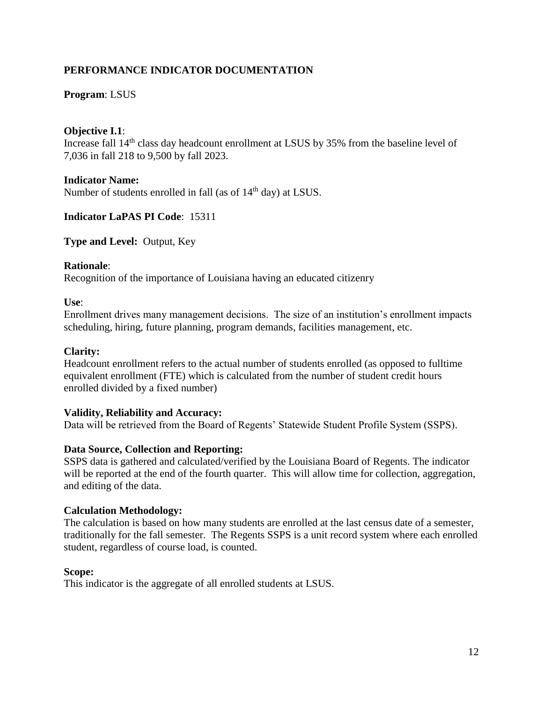# **Program**: LSUS

### **Objective I.1**:

Increase fall 14<sup>th</sup> class day headcount enrollment at LSUS by 35% from the baseline level of 7,036 in fall 218 to 9,500 by fall 2023.

#### **Indicator Name:**

Number of students enrolled in fall (as of  $14<sup>th</sup>$  day) at LSUS.

#### **Indicator LaPAS PI Code**: 15311

**Type and Level:** Output, Key

#### **Rationale**:

Recognition of the importance of Louisiana having an educated citizenry

#### **Use**:

Enrollment drives many management decisions. The size of an institution's enrollment impacts scheduling, hiring, future planning, program demands, facilities management, etc.

#### **Clarity:**

Headcount enrollment refers to the actual number of students enrolled (as opposed to fulltime equivalent enrollment (FTE) which is calculated from the number of student credit hours enrolled divided by a fixed number)

#### **Validity, Reliability and Accuracy:**

Data will be retrieved from the Board of Regents' Statewide Student Profile System (SSPS).

#### **Data Source, Collection and Reporting:**

SSPS data is gathered and calculated/verified by the Louisiana Board of Regents. The indicator will be reported at the end of the fourth quarter. This will allow time for collection, aggregation, and editing of the data.

#### **Calculation Methodology:**

 traditionally for the fall semester. The Regents SSPS is a unit record system where each enrolled The calculation is based on how many students are enrolled at the last census date of a semester, student, regardless of course load, is counted.

#### **Scope:**

This indicator is the aggregate of all enrolled students at LSUS.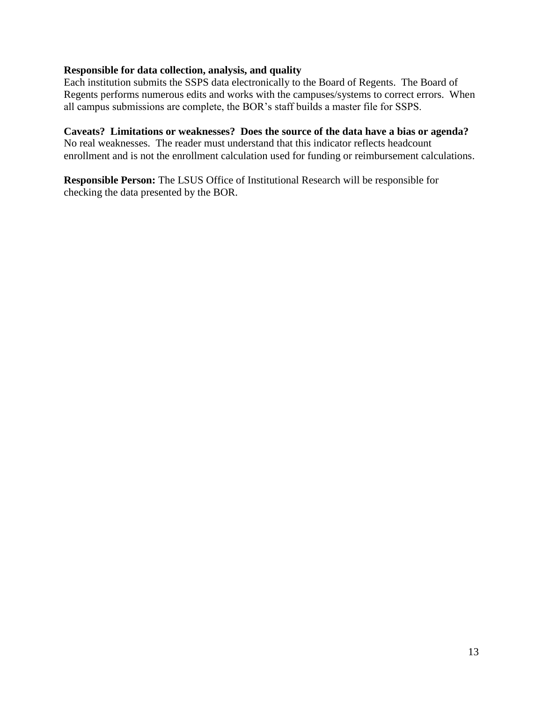# **Responsible for data collection, analysis, and quality**

Each institution submits the SSPS data electronically to the Board of Regents. The Board of Regents performs numerous edits and works with the campuses/systems to correct errors. When all campus submissions are complete, the BOR's staff builds a master file for SSPS.

#### **Caveats? Limitations or weaknesses? Does the source of the data have a bias or agenda?**

No real weaknesses. The reader must understand that this indicator reflects headcount enrollment and is not the enrollment calculation used for funding or reimbursement calculations.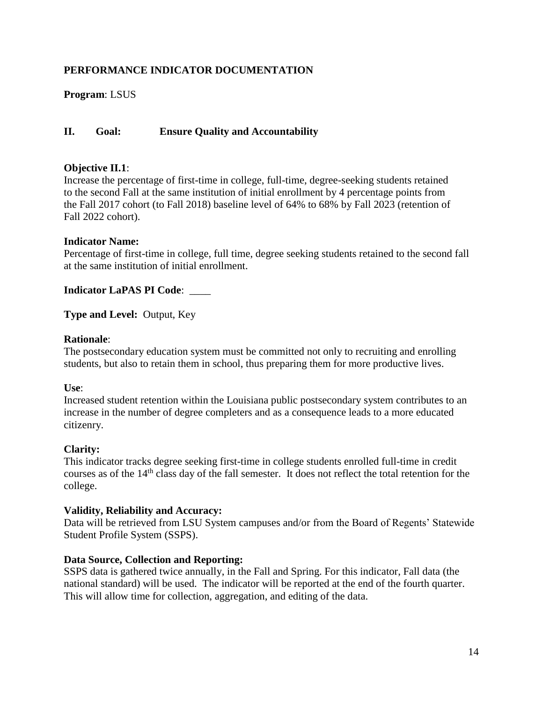**Program**: LSUS

# **II. Goal: Ensure Quality and Accountability**

### **Objective II.1**:

Increase the percentage of first-time in college, full-time, degree-seeking students retained to the second Fall at the same institution of initial enrollment by 4 percentage points from the Fall 2017 cohort (to Fall 2018) baseline level of 64% to 68% by Fall 2023 (retention of Fall 2022 cohort).

#### **Indicator Name:**

Percentage of first-time in college, full time, degree seeking students retained to the second fall at the same institution of initial enrollment.

**Indicator LaPAS PI Code**: \_\_\_\_

**Type and Level:** Output, Key

#### **Rationale**:

The postsecondary education system must be committed not only to recruiting and enrolling students, but also to retain them in school, thus preparing them for more productive lives.

#### **Use**:

Increased student retention within the Louisiana public postsecondary system contributes to an increase in the number of degree completers and as a consequence leads to a more educated citizenry.

#### **Clarity:**

courses as of the 14<sup>th</sup> class day of the fall semester. It does not reflect the total retention for the This indicator tracks degree seeking first-time in college students enrolled full-time in credit college.

#### **Validity, Reliability and Accuracy:**

Data will be retrieved from LSU System campuses and/or from the Board of Regents' Statewide Student Profile System (SSPS).

#### **Data Source, Collection and Reporting:**

SSPS data is gathered twice annually, in the Fall and Spring. For this indicator, Fall data (the national standard) will be used. The indicator will be reported at the end of the fourth quarter. This will allow time for collection, aggregation, and editing of the data.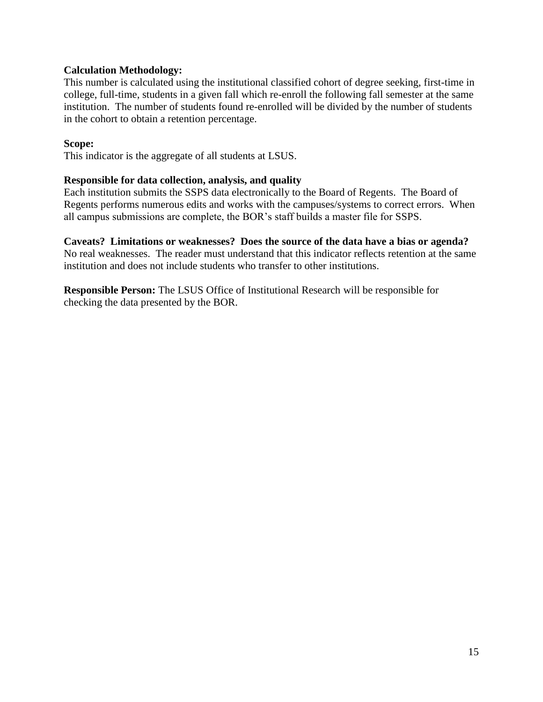# **Calculation Methodology:**

This number is calculated using the institutional classified cohort of degree seeking, first-time in college, full-time, students in a given fall which re-enroll the following fall semester at the same institution. The number of students found re-enrolled will be divided by the number of students in the cohort to obtain a retention percentage.

#### **Scope:**

This indicator is the aggregate of all students at LSUS.

# **Responsible for data collection, analysis, and quality**

Each institution submits the SSPS data electronically to the Board of Regents. The Board of Regents performs numerous edits and works with the campuses/systems to correct errors. When all campus submissions are complete, the BOR's staff builds a master file for SSPS.

# **Caveats? Limitations or weaknesses? Does the source of the data have a bias or agenda?**

No real weaknesses. The reader must understand that this indicator reflects retention at the same institution and does not include students who transfer to other institutions.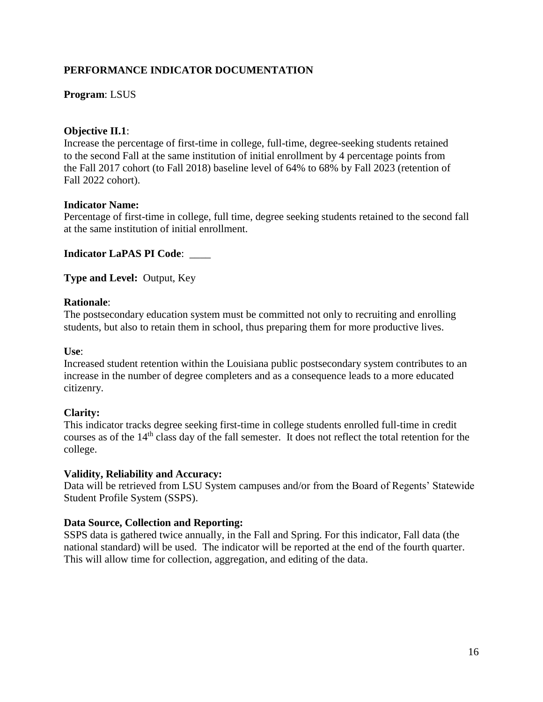# **Program**: LSUS

#### **Objective II.1**:

Increase the percentage of first-time in college, full-time, degree-seeking students retained to the second Fall at the same institution of initial enrollment by 4 percentage points from the Fall 2017 cohort (to Fall 2018) baseline level of 64% to 68% by Fall 2023 (retention of Fall 2022 cohort).

#### **Indicator Name:**

Percentage of first-time in college, full time, degree seeking students retained to the second fall at the same institution of initial enrollment.

# **Indicator LaPAS PI Code**: \_\_\_\_

**Type and Level:** Output, Key

# **Rationale**:

The postsecondary education system must be committed not only to recruiting and enrolling students, but also to retain them in school, thus preparing them for more productive lives.

**Use**:

Increased student retention within the Louisiana public postsecondary system contributes to an increase in the number of degree completers and as a consequence leads to a more educated citizenry.

#### **Clarity:**

courses as of the 14<sup>th</sup> class day of the fall semester. It does not reflect the total retention for the This indicator tracks degree seeking first-time in college students enrolled full-time in credit college.

#### **Validity, Reliability and Accuracy:**

Data will be retrieved from LSU System campuses and/or from the Board of Regents' Statewide Student Profile System (SSPS).

#### **Data Source, Collection and Reporting:**

SSPS data is gathered twice annually, in the Fall and Spring. For this indicator, Fall data (the national standard) will be used. The indicator will be reported at the end of the fourth quarter. This will allow time for collection, aggregation, and editing of the data.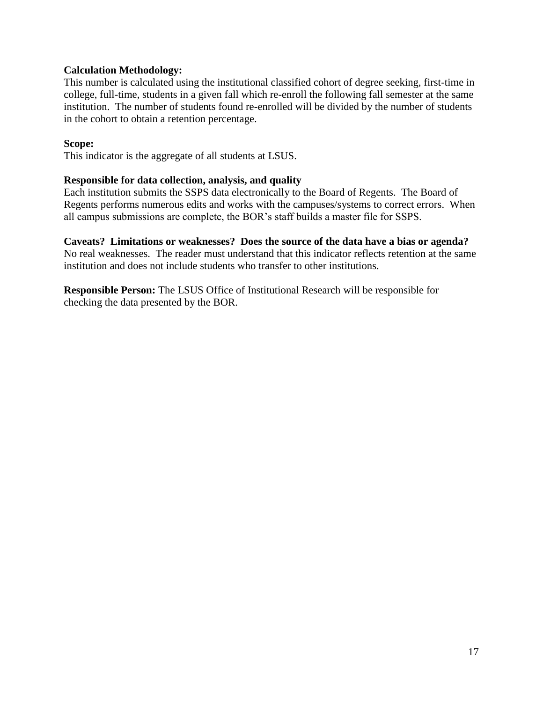# **Calculation Methodology:**

This number is calculated using the institutional classified cohort of degree seeking, first-time in college, full-time, students in a given fall which re-enroll the following fall semester at the same institution. The number of students found re-enrolled will be divided by the number of students in the cohort to obtain a retention percentage.

#### **Scope:**

This indicator is the aggregate of all students at LSUS.

#### **Responsible for data collection, analysis, and quality**

Each institution submits the SSPS data electronically to the Board of Regents. The Board of Regents performs numerous edits and works with the campuses/systems to correct errors. When all campus submissions are complete, the BOR's staff builds a master file for SSPS.

#### **Caveats? Limitations or weaknesses? Does the source of the data have a bias or agenda?**

No real weaknesses. The reader must understand that this indicator reflects retention at the same institution and does not include students who transfer to other institutions.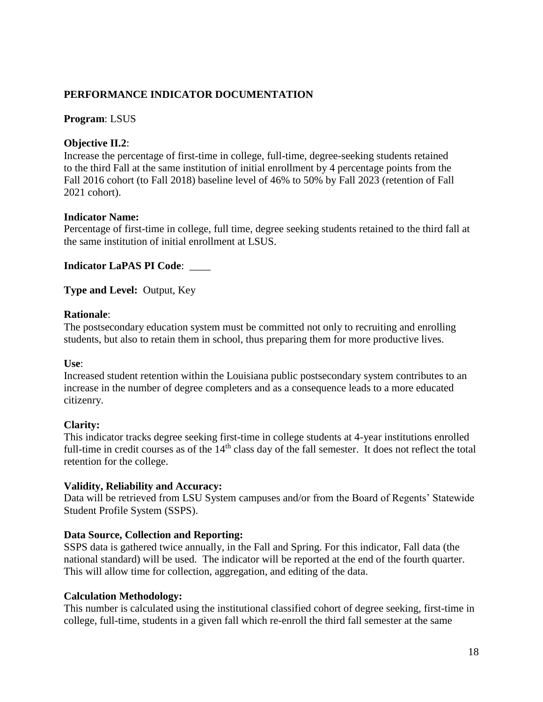### **Program**: LSUS

# **Objective II.2**:

Increase the percentage of first-time in college, full-time, degree-seeking students retained to the third Fall at the same institution of initial enrollment by 4 percentage points from the Fall 2016 cohort (to Fall 2018) baseline level of 46% to 50% by Fall 2023 (retention of Fall 2021 cohort).

# **Indicator Name:**

Percentage of first-time in college, full time, degree seeking students retained to the third fall at the same institution of initial enrollment at LSUS.

**Indicator LaPAS PI Code**: \_\_\_\_

**Type and Level:** Output, Key

# **Rationale**:

The postsecondary education system must be committed not only to recruiting and enrolling students, but also to retain them in school, thus preparing them for more productive lives.

#### **Use**:

Increased student retention within the Louisiana public postsecondary system contributes to an increase in the number of degree completers and as a consequence leads to a more educated citizenry.

#### **Clarity:**

This indicator tracks degree seeking first-time in college students at 4-year institutions enrolled full-time in credit courses as of the  $14<sup>th</sup>$  class day of the fall semester. It does not reflect the total retention for the college.

#### **Validity, Reliability and Accuracy:**

Data will be retrieved from LSU System campuses and/or from the Board of Regents' Statewide Student Profile System (SSPS).

#### **Data Source, Collection and Reporting:**

SSPS data is gathered twice annually, in the Fall and Spring. For this indicator, Fall data (the national standard) will be used. The indicator will be reported at the end of the fourth quarter. This will allow time for collection, aggregation, and editing of the data.

# **Calculation Methodology:**

This number is calculated using the institutional classified cohort of degree seeking, first-time in college, full-time, students in a given fall which re-enroll the third fall semester at the same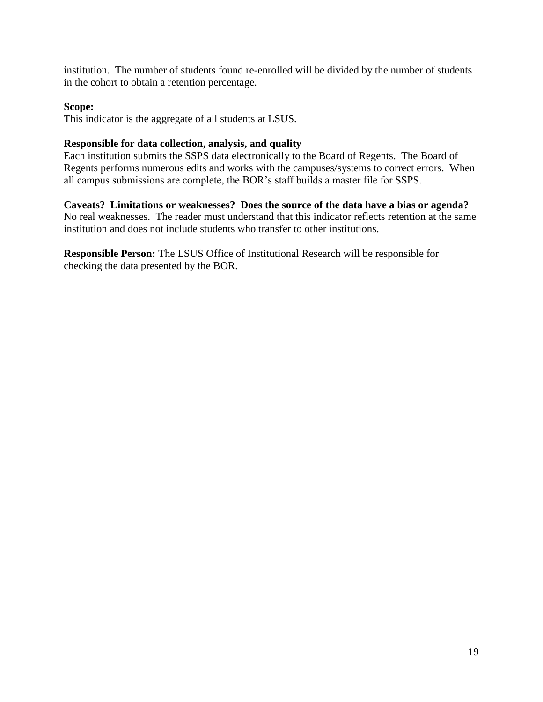institution. The number of students found re-enrolled will be divided by the number of students in the cohort to obtain a retention percentage.

# **Scope:**

This indicator is the aggregate of all students at LSUS.

# **Responsible for data collection, analysis, and quality**

Each institution submits the SSPS data electronically to the Board of Regents. The Board of Regents performs numerous edits and works with the campuses/systems to correct errors. When all campus submissions are complete, the BOR's staff builds a master file for SSPS.

**Caveats? Limitations or weaknesses? Does the source of the data have a bias or agenda?**  No real weaknesses. The reader must understand that this indicator reflects retention at the same institution and does not include students who transfer to other institutions.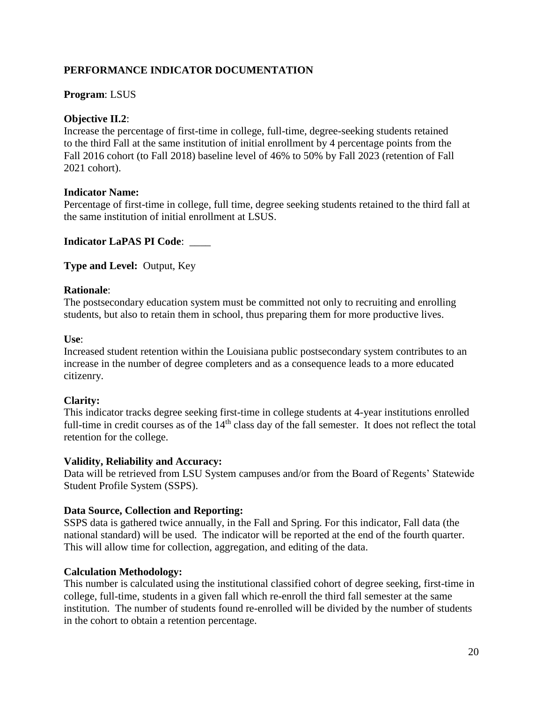# **Program**: LSUS

# **Objective II.2**:

Increase the percentage of first-time in college, full-time, degree-seeking students retained to the third Fall at the same institution of initial enrollment by 4 percentage points from the Fall 2016 cohort (to Fall 2018) baseline level of 46% to 50% by Fall 2023 (retention of Fall 2021 cohort).

# **Indicator Name:**

Percentage of first-time in college, full time, degree seeking students retained to the third fall at the same institution of initial enrollment at LSUS.

#### **Indicator LaPAS PI Code**: \_\_\_\_

**Type and Level:** Output, Key

# **Rationale**:

The postsecondary education system must be committed not only to recruiting and enrolling students, but also to retain them in school, thus preparing them for more productive lives.

**Use**:

Increased student retention within the Louisiana public postsecondary system contributes to an increase in the number of degree completers and as a consequence leads to a more educated citizenry.

#### **Clarity:**

This indicator tracks degree seeking first-time in college students at 4-year institutions enrolled full-time in credit courses as of the  $14<sup>th</sup>$  class day of the fall semester. It does not reflect the total retention for the college.

#### **Validity, Reliability and Accuracy:**

Data will be retrieved from LSU System campuses and/or from the Board of Regents' Statewide Student Profile System (SSPS).

#### **Data Source, Collection and Reporting:**

SSPS data is gathered twice annually, in the Fall and Spring. For this indicator, Fall data (the national standard) will be used. The indicator will be reported at the end of the fourth quarter. This will allow time for collection, aggregation, and editing of the data.

#### **Calculation Methodology:**

This number is calculated using the institutional classified cohort of degree seeking, first-time in college, full-time, students in a given fall which re-enroll the third fall semester at the same institution. The number of students found re-enrolled will be divided by the number of students in the cohort to obtain a retention percentage.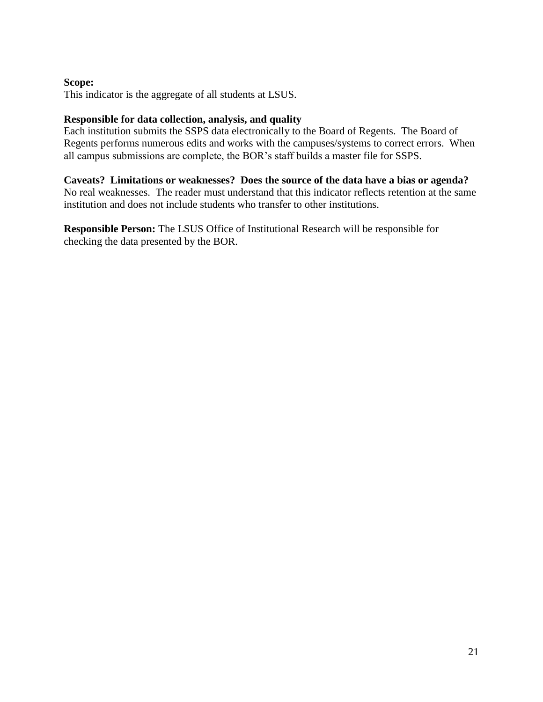# **Scope:**

This indicator is the aggregate of all students at LSUS.

# **Responsible for data collection, analysis, and quality**

Each institution submits the SSPS data electronically to the Board of Regents. The Board of Regents performs numerous edits and works with the campuses/systems to correct errors. When all campus submissions are complete, the BOR's staff builds a master file for SSPS.

#### **Caveats? Limitations or weaknesses? Does the source of the data have a bias or agenda?**

No real weaknesses. The reader must understand that this indicator reflects retention at the same institution and does not include students who transfer to other institutions.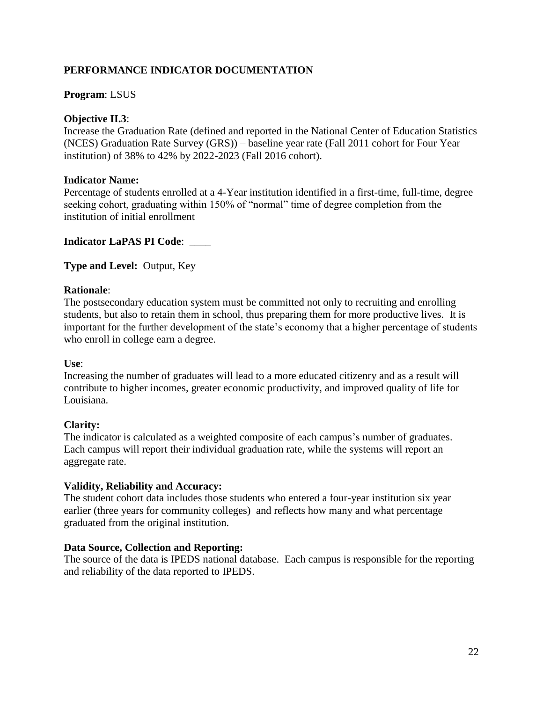### **Program**: LSUS

# **Objective II.3**:

 (NCES) Graduation Rate Survey (GRS)) – baseline year rate (Fall 2011 cohort for Four Year Increase the Graduation Rate (defined and reported in the National Center of Education Statistics institution) of 38% to 42% by 2022-2023 (Fall 2016 cohort).

#### **Indicator Name:**

Percentage of students enrolled at a 4-Year institution identified in a first-time, full-time, degree seeking cohort, graduating within 150% of "normal" time of degree completion from the institution of initial enrollment

# **Indicator LaPAS PI Code**: \_\_\_\_

**Type and Level:** Output, Key

# **Rationale**:

 students, but also to retain them in school, thus preparing them for more productive lives. It is The postsecondary education system must be committed not only to recruiting and enrolling important for the further development of the state's economy that a higher percentage of students who enroll in college earn a degree.

#### **Use**:

 contribute to higher incomes, greater economic productivity, and improved quality of life for Increasing the number of graduates will lead to a more educated citizenry and as a result will Louisiana.

#### **Clarity:**

The indicator is calculated as a weighted composite of each campus's number of graduates. Each campus will report their individual graduation rate, while the systems will report an aggregate rate.

#### **Validity, Reliability and Accuracy:**

The student cohort data includes those students who entered a four-year institution six year earlier (three years for community colleges) and reflects how many and what percentage graduated from the original institution.

#### **Data Source, Collection and Reporting:**

The source of the data is IPEDS national database. Each campus is responsible for the reporting and reliability of the data reported to IPEDS.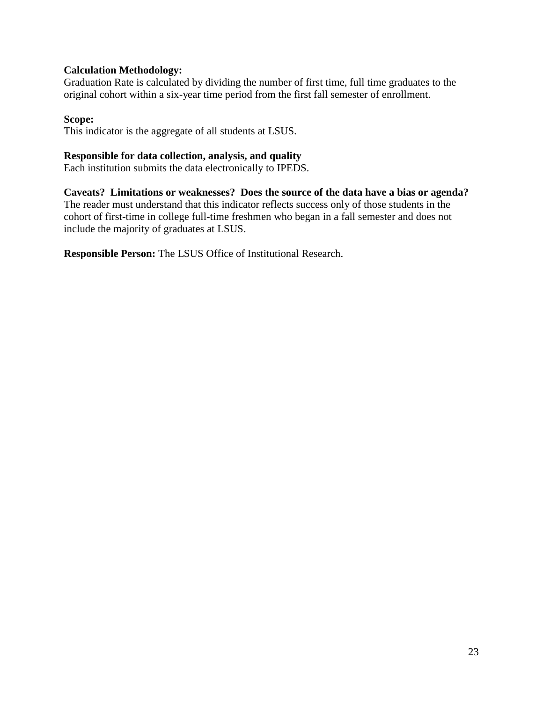# **Calculation Methodology:**

Graduation Rate is calculated by dividing the number of first time, full time graduates to the original cohort within a six-year time period from the first fall semester of enrollment.

### **Scope:**

This indicator is the aggregate of all students at LSUS.

# **Responsible for data collection, analysis, and quality**

Each institution submits the data electronically to IPEDS.

**Caveats? Limitations or weaknesses? Does the source of the data have a bias or agenda?**  The reader must understand that this indicator reflects success only of those students in the cohort of first-time in college full-time freshmen who began in a fall semester and does not include the majority of graduates at LSUS.

**Responsible Person:** The LSUS Office of Institutional Research.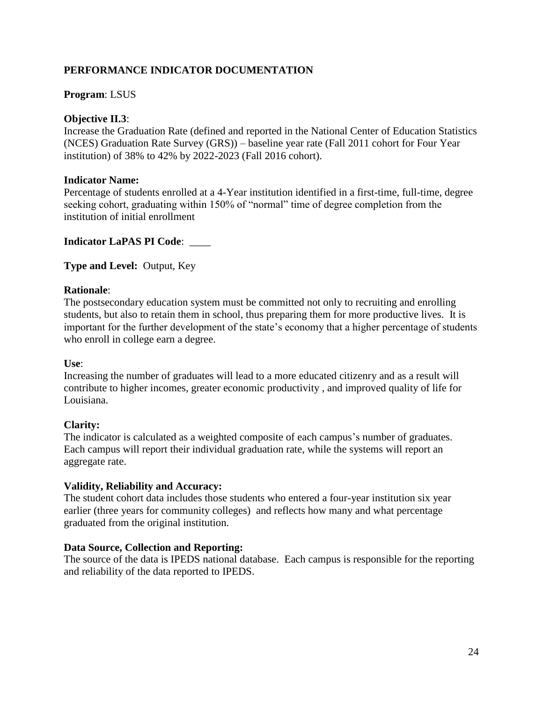# **Program**: LSUS

# **Objective II.3**:

 (NCES) Graduation Rate Survey (GRS)) – baseline year rate (Fall 2011 cohort for Four Year Increase the Graduation Rate (defined and reported in the National Center of Education Statistics institution) of 38% to 42% by 2022-2023 (Fall 2016 cohort).

#### **Indicator Name:**

Percentage of students enrolled at a 4-Year institution identified in a first-time, full-time, degree seeking cohort, graduating within 150% of "normal" time of degree completion from the institution of initial enrollment

# **Indicator LaPAS PI Code**: \_\_\_\_

**Type and Level:** Output, Key

# **Rationale**:

 students, but also to retain them in school, thus preparing them for more productive lives. It is The postsecondary education system must be committed not only to recruiting and enrolling important for the further development of the state's economy that a higher percentage of students who enroll in college earn a degree.

#### **Use**:

 contribute to higher incomes, greater economic productivity , and improved quality of life for Increasing the number of graduates will lead to a more educated citizenry and as a result will Louisiana.

#### **Clarity:**

The indicator is calculated as a weighted composite of each campus's number of graduates. Each campus will report their individual graduation rate, while the systems will report an aggregate rate.

#### **Validity, Reliability and Accuracy:**

The student cohort data includes those students who entered a four-year institution six year earlier (three years for community colleges) and reflects how many and what percentage graduated from the original institution.

#### **Data Source, Collection and Reporting:**

The source of the data is IPEDS national database. Each campus is responsible for the reporting and reliability of the data reported to IPEDS.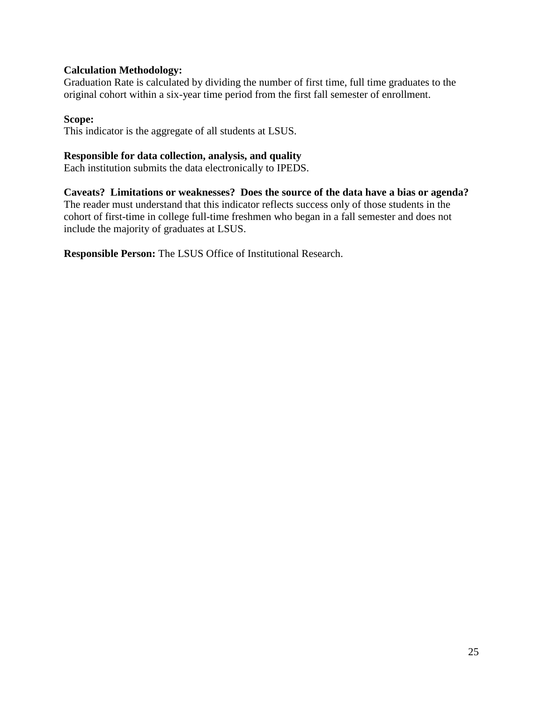# **Calculation Methodology:**

Graduation Rate is calculated by dividing the number of first time, full time graduates to the original cohort within a six-year time period from the first fall semester of enrollment.

### **Scope:**

This indicator is the aggregate of all students at LSUS.

# **Responsible for data collection, analysis, and quality**

Each institution submits the data electronically to IPEDS.

**Caveats? Limitations or weaknesses? Does the source of the data have a bias or agenda?**  The reader must understand that this indicator reflects success only of those students in the cohort of first-time in college full-time freshmen who began in a fall semester and does not include the majority of graduates at LSUS.

**Responsible Person:** The LSUS Office of Institutional Research.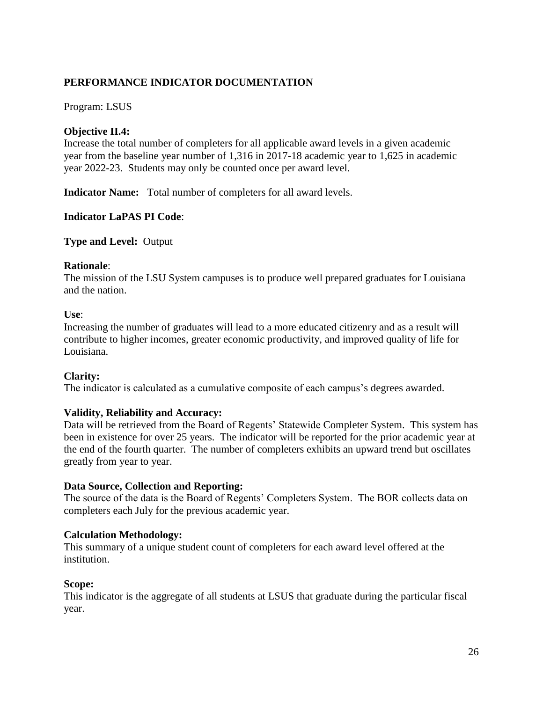# Program: LSUS

# **Objective II.4:**

Increase the total number of completers for all applicable award levels in a given academic year from the baseline year number of 1,316 in 2017-18 academic year to 1,625 in academic year 2022-23. Students may only be counted once per award level.

**Indicator Name:** Total number of completers for all award levels.

# **Indicator LaPAS PI Code**:

**Type and Level:** Output

#### **Rationale**:

The mission of the LSU System campuses is to produce well prepared graduates for Louisiana and the nation.

#### **Use**:

 contribute to higher incomes, greater economic productivity, and improved quality of life for Increasing the number of graduates will lead to a more educated citizenry and as a result will Louisiana.

#### **Clarity:**

The indicator is calculated as a cumulative composite of each campus's degrees awarded.

#### **Validity, Reliability and Accuracy:**

Data will be retrieved from the Board of Regents' Statewide Completer System. This system has been in existence for over 25 years. The indicator will be reported for the prior academic year at the end of the fourth quarter. The number of completers exhibits an upward trend but oscillates greatly from year to year.

#### **Data Source, Collection and Reporting:**

The source of the data is the Board of Regents' Completers System. The BOR collects data on completers each July for the previous academic year.

#### **Calculation Methodology:**

This summary of a unique student count of completers for each award level offered at the institution.

#### **Scope:**

This indicator is the aggregate of all students at LSUS that graduate during the particular fiscal year.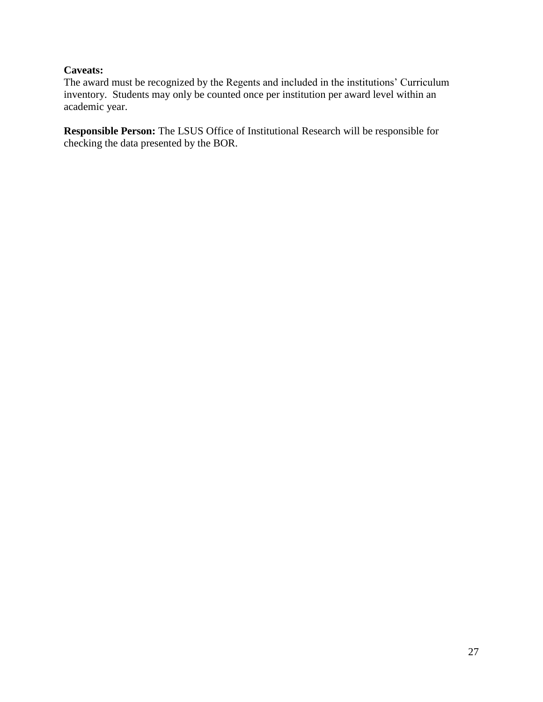# **Caveats:**

The award must be recognized by the Regents and included in the institutions' Curriculum inventory. Students may only be counted once per institution per award level within an academic year.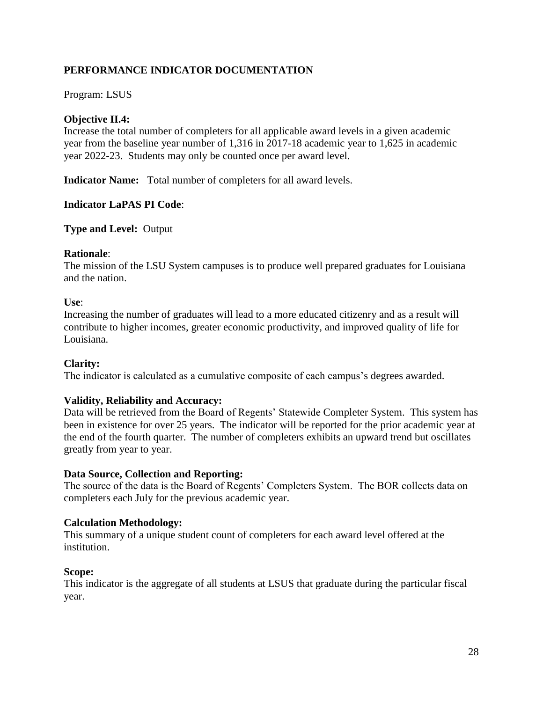# Program: LSUS

# **Objective II.4:**

Increase the total number of completers for all applicable award levels in a given academic year from the baseline year number of 1,316 in 2017-18 academic year to 1,625 in academic year 2022-23. Students may only be counted once per award level.

**Indicator Name:** Total number of completers for all award levels.

#### **Indicator LaPAS PI Code**:

**Type and Level:** Output

#### **Rationale**:

The mission of the LSU System campuses is to produce well prepared graduates for Louisiana and the nation.

#### **Use**:

 contribute to higher incomes, greater economic productivity, and improved quality of life for Increasing the number of graduates will lead to a more educated citizenry and as a result will Louisiana.

#### **Clarity:**

The indicator is calculated as a cumulative composite of each campus's degrees awarded.

#### **Validity, Reliability and Accuracy:**

Data will be retrieved from the Board of Regents' Statewide Completer System. This system has been in existence for over 25 years. The indicator will be reported for the prior academic year at the end of the fourth quarter. The number of completers exhibits an upward trend but oscillates greatly from year to year.

#### **Data Source, Collection and Reporting:**

The source of the data is the Board of Regents' Completers System. The BOR collects data on completers each July for the previous academic year.

#### **Calculation Methodology:**

This summary of a unique student count of completers for each award level offered at the institution.

#### **Scope:**

This indicator is the aggregate of all students at LSUS that graduate during the particular fiscal year.